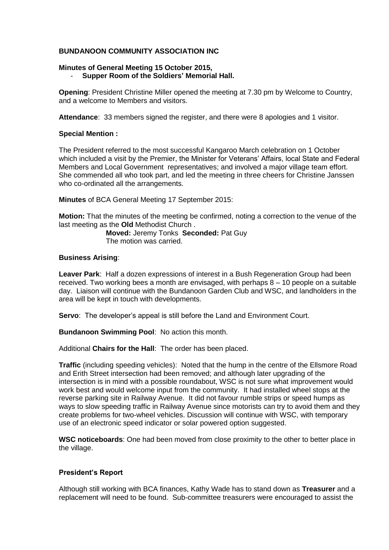# **BUNDANOON COMMUNITY ASSOCIATION INC**

# **Minutes of General Meeting 15 October 2015,**

# - **Supper Room of the Soldiers' Memorial Hall.**

**Opening**: President Christine Miller opened the meeting at 7.30 pm by Welcome to Country, and a welcome to Members and visitors.

**Attendance**: 33 members signed the register, and there were 8 apologies and 1 visitor.

## **Special Mention :**

The President referred to the most successful Kangaroo March celebration on 1 October which included a visit by the Premier, the Minister for Veterans' Affairs, local State and Federal Members and Local Government representatives; and involved a major village team effort. She commended all who took part, and led the meeting in three cheers for Christine Janssen who co-ordinated all the arrangements.

**Minutes** of BCA General Meeting 17 September 2015:

**Motion:** That the minutes of the meeting be confirmed, noting a correction to the venue of the last meeting as the **Old** Methodist Church .

**Moved:** Jeremy Tonks **Seconded:** Pat Guy The motion was carried.

## **Business Arising**:

**Leaver Park**: Half a dozen expressions of interest in a Bush Regeneration Group had been received. Two working bees a month are envisaged, with perhaps 8 – 10 people on a suitable day. Liaison will continue with the Bundanoon Garden Club and WSC, and landholders in the area will be kept in touch with developments.

**Servo**: The developer's appeal is still before the Land and Environment Court.

**Bundanoon Swimming Pool**: No action this month.

Additional **Chairs for the Hall**: The order has been placed.

**Traffic** (including speeding vehicles): Noted that the hump in the centre of the Ellsmore Road and Erith Street intersection had been removed; and although later upgrading of the intersection is in mind with a possible roundabout, WSC is not sure what improvement would work best and would welcome input from the community. It had installed wheel stops at the reverse parking site in Railway Avenue. It did not favour rumble strips or speed humps as ways to slow speeding traffic in Railway Avenue since motorists can try to avoid them and they create problems for two-wheel vehicles. Discussion will continue with WSC, with temporary use of an electronic speed indicator or solar powered option suggested.

**WSC noticeboards**: One had been moved from close proximity to the other to better place in the village.

# **President's Report**

Although still working with BCA finances, Kathy Wade has to stand down as **Treasurer** and a replacement will need to be found. Sub-committee treasurers were encouraged to assist the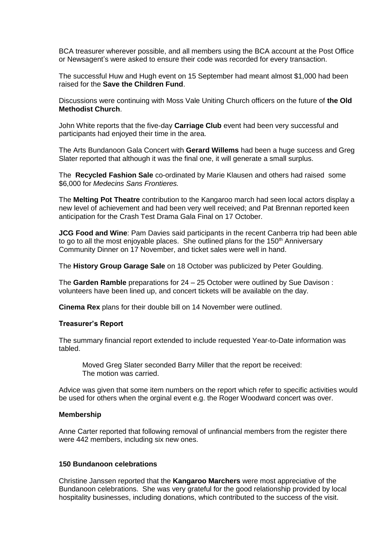BCA treasurer wherever possible, and all members using the BCA account at the Post Office or Newsagent's were asked to ensure their code was recorded for every transaction.

The successful Huw and Hugh event on 15 September had meant almost \$1,000 had been raised for the **Save the Children Fund**.

Discussions were continuing with Moss Vale Uniting Church officers on the future of **the Old Methodist Church**.

John White reports that the five-day **Carriage Club** event had been very successful and participants had enjoyed their time in the area.

The Arts Bundanoon Gala Concert with **Gerard Willems** had been a huge success and Greg Slater reported that although it was the final one, it will generate a small surplus.

The **Recycled Fashion Sale** co-ordinated by Marie Klausen and others had raised some \$6,000 for *Medecins Sans Frontieres.*

The **Melting Pot Theatre** contribution to the Kangaroo march had seen local actors display a new level of achievement and had been very well received; and Pat Brennan reported keen anticipation for the Crash Test Drama Gala Final on 17 October.

**JCG Food and Wine**: Pam Davies said participants in the recent Canberra trip had been able to go to all the most enjoyable places. She outlined plans for the  $150<sup>th</sup>$  Anniversary Community Dinner on 17 November, and ticket sales were well in hand.

The **History Group Garage Sale** on 18 October was publicized by Peter Goulding.

The **Garden Ramble** preparations for 24 – 25 October were outlined by Sue Davison : volunteers have been lined up, and concert tickets will be available on the day.

**Cinema Rex** plans for their double bill on 14 November were outlined.

#### **Treasurer's Report**

The summary financial report extended to include requested Year-to-Date information was tabled.

Moved Greg Slater seconded Barry Miller that the report be received: The motion was carried.

Advice was given that some item numbers on the report which refer to specific activities would be used for others when the orginal event e.g. the Roger Woodward concert was over.

### **Membership**

Anne Carter reported that following removal of unfinancial members from the register there were 442 members, including six new ones.

### **150 Bundanoon celebrations**

Christine Janssen reported that the **Kangaroo Marchers** were most appreciative of the Bundanoon celebrations. She was very grateful for the good relationship provided by local hospitality businesses, including donations, which contributed to the success of the visit.